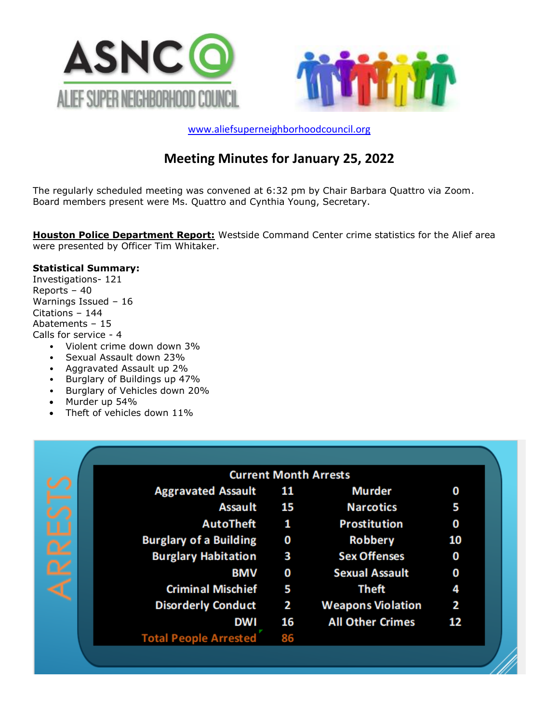



[www.aliefsuperneighborhoodcouncil.org](http://www.aliefsuperneighborhoodcouncil.org/)

# **Meeting Minutes for January 25, 2022**

The regularly scheduled meeting was convened at 6:32 pm by Chair Barbara Quattro via Zoom. Board members present were Ms. Quattro and Cynthia Young, Secretary.

**Houston Police Department Report:** Westside Command Center crime statistics for the Alief area were presented by Officer Tim Whitaker.

#### **Statistical Summary:**

Investigations- 121 Reports – 40 Warnings Issued – 16 Citations – 144 Abatements – 15 Calls for service - 4

- Violent crime down down 3%
- Sexual Assault down 23%
- Aggravated Assault up 2%
- Burglary of Buildings up 47%
- Burglary of Vehicles down 20%
- Murder up 54%
- Theft of vehicles down 11%

|                               |    | <b>Current Month Arrests</b> |    |
|-------------------------------|----|------------------------------|----|
| <b>Aggravated Assault</b>     | 11 | <b>Murder</b>                | 0  |
| <b>Assault</b>                | 15 | <b>Narcotics</b>             | 5  |
| <b>AutoTheft</b>              | 1  | <b>Prostitution</b>          | 0  |
| <b>Burglary of a Building</b> | 0  | <b>Robbery</b>               | 10 |
| <b>Burglary Habitation</b>    | 3  | <b>Sex Offenses</b>          | 0  |
| <b>BMV</b>                    | 0  | <b>Sexual Assault</b>        | 0  |
| <b>Criminal Mischief</b>      | 5  | Theft                        |    |
| <b>Disorderly Conduct</b>     | 2  | <b>Weapons Violation</b>     | 2  |
| <b>DWI</b>                    | 16 | <b>All Other Crimes</b>      | 12 |
| <b>Total People Arrested</b>  | 86 |                              |    |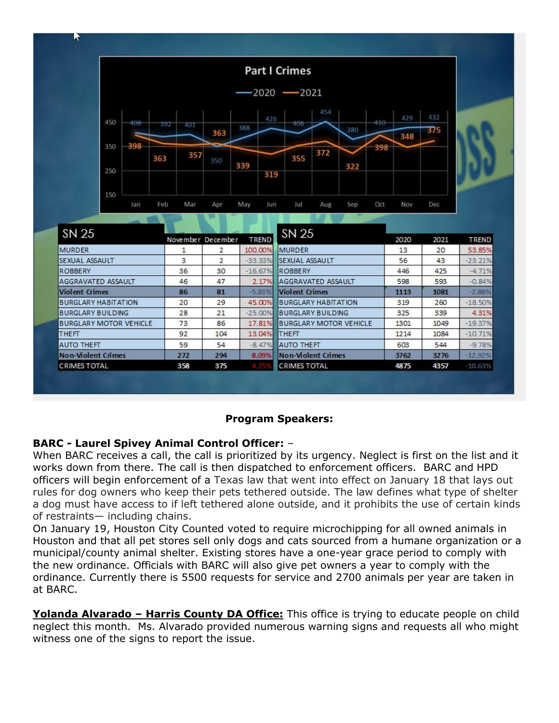

### **Program Speakers:**

### **BARC - Laurel Spivey Animal Control Officer:** –

When BARC receives a call, the call is prioritized by its urgency. Neglect is first on the list and it works down from there. The call is then dispatched to enforcement officers. BARC and HPD officers will begin enforcement of a Texas law that went into effect on January 18 that lays out rules for dog owners who keep their pets tethered outside. The law defines what type of shelter a dog must have access to if left tethered alone outside, and it prohibits the use of certain kinds of restraints— including chains.

On January 19, Houston City Counted voted to require microchipping for all owned animals in Houston and that all pet stores sell only dogs and cats sourced from a humane organization or a municipal/county animal shelter. Existing stores have a one-year grace period to comply with the [new ordinance.](https://houston.novusagenda.com/agendapublic/CoverSheet.aspx?ItemID=24523&MeetingID=523) Officials with BARC will also give pet owners a year to comply with the ordinance. Currently there is 5500 requests for service and 2700 animals per year are taken in at BARC.

**Yolanda Alvarado – Harris County DA Office:** This office is trying to educate people on child neglect this month. Ms. Alvarado provided numerous warning signs and requests all who might witness one of the signs to report the issue.